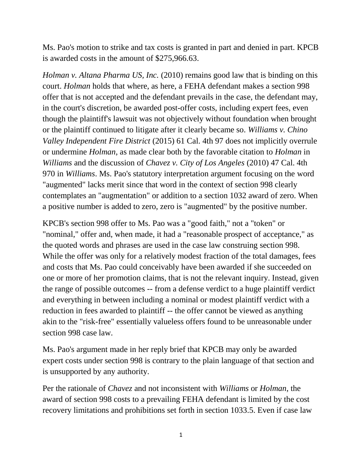Ms. Pao's motion to strike and tax costs is granted in part and denied in part. KPCB is awarded costs in the amount of \$275,966.63.

*Holman v. Altana Pharma US, Inc.* (2010) remains good law that is binding on this court. *Holman* holds that where, as here, a FEHA defendant makes a section 998 offer that is not accepted and the defendant prevails in the case, the defendant may, in the court's discretion, be awarded post-offer costs, including expert fees, even though the plaintiff's lawsuit was not objectively without foundation when brought or the plaintiff continued to litigate after it clearly became so. *Williams v. Chino Valley Independent Fire District* (2015) 61 Cal. 4th 97 does not implicitly overrule or undermine *Holman*, as made clear both by the favorable citation to *Holman* in *Williams* and the discussion of *Chavez v. City of Los Angeles* (2010) 47 Cal. 4th 970 in *Williams*. Ms. Pao's statutory interpretation argument focusing on the word "augmented" lacks merit since that word in the context of section 998 clearly contemplates an "augmentation" or addition to a section 1032 award of zero. When a positive number is added to zero, zero is "augmented" by the positive number.

KPCB's section 998 offer to Ms. Pao was a "good faith," not a "token" or "nominal," offer and, when made, it had a "reasonable prospect of acceptance," as the quoted words and phrases are used in the case law construing section 998. While the offer was only for a relatively modest fraction of the total damages, fees and costs that Ms. Pao could conceivably have been awarded if she succeeded on one or more of her promotion claims, that is not the relevant inquiry. Instead, given the range of possible outcomes -- from a defense verdict to a huge plaintiff verdict and everything in between including a nominal or modest plaintiff verdict with a reduction in fees awarded to plaintiff -- the offer cannot be viewed as anything akin to the "risk-free" essentially valueless offers found to be unreasonable under section 998 case law.

Ms. Pao's argument made in her reply brief that KPCB may only be awarded expert costs under section 998 is contrary to the plain language of that section and is unsupported by any authority.

Per the rationale of *Chavez* and not inconsistent with *Williams* or *Holman*, the award of section 998 costs to a prevailing FEHA defendant is limited by the cost recovery limitations and prohibitions set forth in section 1033.5. Even if case law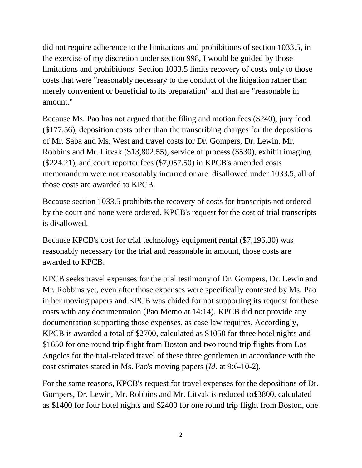did not require adherence to the limitations and prohibitions of section 1033.5, in the exercise of my discretion under section 998, I would be guided by those limitations and prohibitions. Section 1033.5 limits recovery of costs only to those costs that were "reasonably necessary to the conduct of the litigation rather than merely convenient or beneficial to its preparation" and that are "reasonable in amount."

Because Ms. Pao has not argued that the filing and motion fees (\$240), jury food (\$177.56), deposition costs other than the transcribing charges for the depositions of Mr. Saba and Ms. West and travel costs for Dr. Gompers, Dr. Lewin, Mr. Robbins and Mr. Litvak (\$13,802.55), service of process (\$530), exhibit imaging (\$224.21), and court reporter fees (\$7,057.50) in KPCB's amended costs memorandum were not reasonably incurred or are disallowed under 1033.5, all of those costs are awarded to KPCB.

Because section 1033.5 prohibits the recovery of costs for transcripts not ordered by the court and none were ordered, KPCB's request for the cost of trial transcripts is disallowed.

Because KPCB's cost for trial technology equipment rental (\$7,196.30) was reasonably necessary for the trial and reasonable in amount, those costs are awarded to KPCB.

KPCB seeks travel expenses for the trial testimony of Dr. Gompers, Dr. Lewin and Mr. Robbins yet, even after those expenses were specifically contested by Ms. Pao in her moving papers and KPCB was chided for not supporting its request for these costs with any documentation (Pao Memo at 14:14), KPCB did not provide any documentation supporting those expenses, as case law requires. Accordingly, KPCB is awarded a total of \$2700, calculated as \$1050 for three hotel nights and \$1650 for one round trip flight from Boston and two round trip flights from Los Angeles for the trial-related travel of these three gentlemen in accordance with the cost estimates stated in Ms. Pao's moving papers (*Id*. at 9:6-10-2).

For the same reasons, KPCB's request for travel expenses for the depositions of Dr. Gompers, Dr. Lewin, Mr. Robbins and Mr. Litvak is reduced to\$3800, calculated as \$1400 for four hotel nights and \$2400 for one round trip flight from Boston, one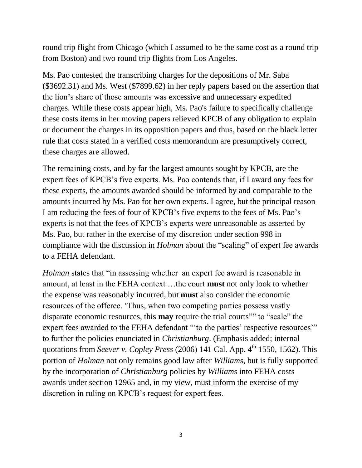round trip flight from Chicago (which I assumed to be the same cost as a round trip from Boston) and two round trip flights from Los Angeles.

Ms. Pao contested the transcribing charges for the depositions of Mr. Saba (\$3692.31) and Ms. West (\$7899.62) in her reply papers based on the assertion that the lion's share of those amounts was excessive and unnecessary expedited charges. While these costs appear high, Ms. Pao's failure to specifically challenge these costs items in her moving papers relieved KPCB of any obligation to explain or document the charges in its opposition papers and thus, based on the black letter rule that costs stated in a verified costs memorandum are presumptively correct, these charges are allowed.

The remaining costs, and by far the largest amounts sought by KPCB, are the expert fees of KPCB's five experts. Ms. Pao contends that, if I award any fees for these experts, the amounts awarded should be informed by and comparable to the amounts incurred by Ms. Pao for her own experts. I agree, but the principal reason I am reducing the fees of four of KPCB's five experts to the fees of Ms. Pao's experts is not that the fees of KPCB's experts were unreasonable as asserted by Ms. Pao, but rather in the exercise of my discretion under section 998 in compliance with the discussion in *Holman* about the "scaling" of expert fee awards to a FEHA defendant.

*Holman* states that "in assessing whether an expert fee award is reasonable in amount, at least in the FEHA context …the court **must** not only look to whether the expense was reasonably incurred, but **must** also consider the economic resources of the offeree. 'Thus, when two competing parties possess vastly disparate economic resources, this **may** require the trial courts"" to "scale" the expert fees awarded to the FEHA defendant "'to the parties' respective resources'" to further the policies enunciated in *Christianburg*. (Emphasis added; internal quotations from *Seever v. Copley Press* (2006) 141 Cal. App. 4<sup>th</sup> 1550, 1562). This portion of *Holman* not only remains good law after *Williams*, but is fully supported by the incorporation of *Christianburg* policies by *Williams* into FEHA costs awards under section 12965 and, in my view, must inform the exercise of my discretion in ruling on KPCB's request for expert fees.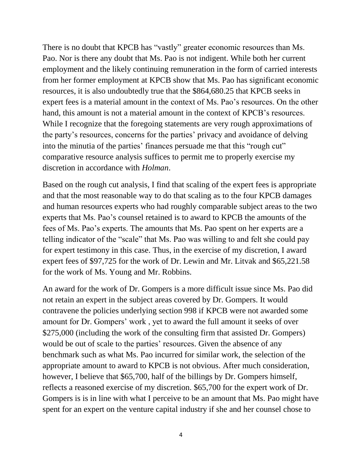There is no doubt that KPCB has "vastly" greater economic resources than Ms. Pao. Nor is there any doubt that Ms. Pao is not indigent. While both her current employment and the likely continuing remuneration in the form of carried interests from her former employment at KPCB show that Ms. Pao has significant economic resources, it is also undoubtedly true that the \$864,680.25 that KPCB seeks in expert fees is a material amount in the context of Ms. Pao's resources. On the other hand, this amount is not a material amount in the context of KPCB's resources. While I recognize that the foregoing statements are very rough approximations of the party's resources, concerns for the parties' privacy and avoidance of delving into the minutia of the parties' finances persuade me that this "rough cut" comparative resource analysis suffices to permit me to properly exercise my discretion in accordance with *Holman*.

Based on the rough cut analysis, I find that scaling of the expert fees is appropriate and that the most reasonable way to do that scaling as to the four KPCB damages and human resources experts who had roughly comparable subject areas to the two experts that Ms. Pao's counsel retained is to award to KPCB the amounts of the fees of Ms. Pao's experts. The amounts that Ms. Pao spent on her experts are a telling indicator of the "scale" that Ms. Pao was willing to and felt she could pay for expert testimony in this case. Thus, in the exercise of my discretion, I award expert fees of \$97,725 for the work of Dr. Lewin and Mr. Litvak and \$65,221.58 for the work of Ms. Young and Mr. Robbins.

An award for the work of Dr. Gompers is a more difficult issue since Ms. Pao did not retain an expert in the subject areas covered by Dr. Gompers. It would contravene the policies underlying section 998 if KPCB were not awarded some amount for Dr. Gompers' work , yet to award the full amount it seeks of over \$275,000 (including the work of the consulting firm that assisted Dr. Gompers) would be out of scale to the parties' resources. Given the absence of any benchmark such as what Ms. Pao incurred for similar work, the selection of the appropriate amount to award to KPCB is not obvious. After much consideration, however, I believe that \$65,700, half of the billings by Dr. Gompers himself, reflects a reasoned exercise of my discretion. \$65,700 for the expert work of Dr. Gompers is is in line with what I perceive to be an amount that Ms. Pao might have spent for an expert on the venture capital industry if she and her counsel chose to